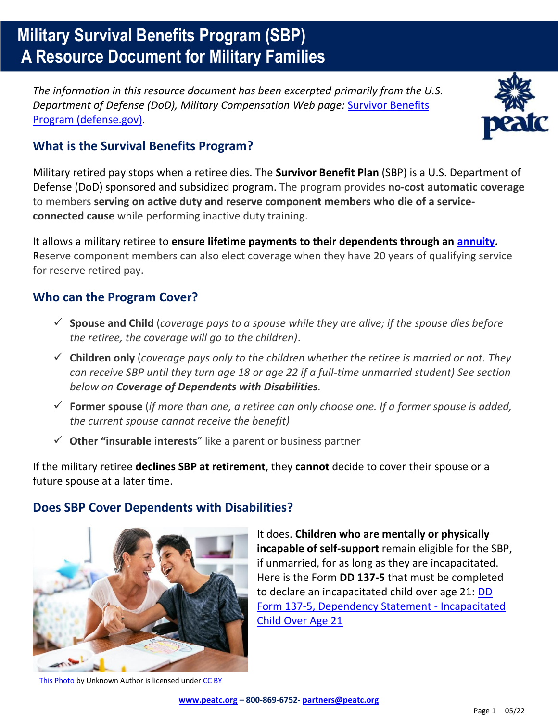# **Military Survival Benefits Program (SBP) A Resource Document for Military Families**

*The information in this resource document has been excerpted primarily from the U.S. Department of Defense (DoD), Military Compensation Web page:* [Survivor Benefits](https://militarypay.defense.gov/benefits/survivor-benefit-program/)  [Program \(defense.gov\)](https://militarypay.defense.gov/benefits/survivor-benefit-program/)*.*



## **What is the Survival Benefits Program?**

Military retired pay stops when a retiree dies. The **Survivor Benefit Plan** (SBP) is a U.S. Department of Defense (DoD) sponsored and subsidized program. The program provides **no-cost automatic coverage** to members **serving on active duty and reserve component members who die of a serviceconnected cause** while performing inactive duty training.

It allows a military retiree to **ensure lifetime payments to their dependents through an [annuity.](https://www.investopedia.com/terms/a/annuity.asp)**  Reserve component members can also elect coverage when they have 20 years of qualifying service for reserve retired pay.

## **Who can the Program Cover?**

- ✓ **Spouse and Child** (*coverage pays to a spouse while they are alive; if the spouse dies before the retiree, the coverage will go to the children)*.
- ✓ **Children only** (*coverage pays only to the children whether the retiree is married or not. They can receive SBP until they turn age 18 or age 22 if a full-time unmarried student) See section below on Coverage of Dependents with Disabilities.*
- ✓ **Former spouse** (*if more than one, a retiree can only choose one. If a former spouse is added, the current spouse cannot receive the benefit)*
- ✓ **Other "insurable interests**" like a parent or business partner

If the military retiree **declines SBP at retirement**, they **cannot** decide to cover their spouse or a future spouse at a later time.

### **Does SBP Cover Dependents with Disabilities?**



It does. **Children who are mentally or physically incapable of self-support** remain eligible for the SBP, if unmarried, for as long as they are incapacitated. Here is the Form **DD 137-5** that must be completed to declare an incapacitated child over age 21: [DD](https://armyreal.com/forms/pdf/dd_forms/d137_5.pdf)  [Form 137-5, Dependency Statement - Incapacitated](https://armyreal.com/forms/pdf/dd_forms/d137_5.pdf)  [Child Over Age 21](https://armyreal.com/forms/pdf/dd_forms/d137_5.pdf)

[This Photo](https://workerscreening.communities.qld.gov.au/workers) by Unknown Author is licensed under [CC BY](https://creativecommons.org/licenses/by/3.0/)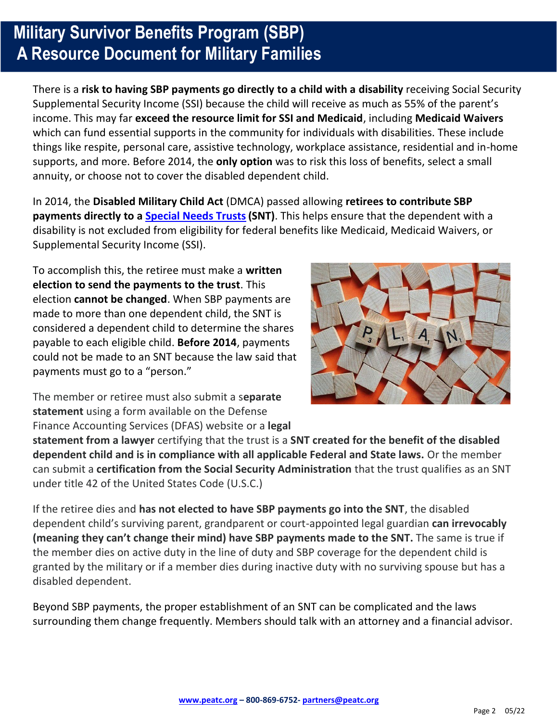# **Military Survivor Benefits Program (SBP) A Resource Document for Military Families**

There is a **risk to having SBP payments go directly to a child with a disability** receiving Social Security Supplemental Security Income (SSI) because the child will receive as much as 55% of the parent's income. This may far **exceed the resource limit for SSI and Medicaid**, including **Medicaid Waivers** which can fund essential supports in the community for individuals with disabilities. These include things like respite, personal care, assistive technology, workplace assistance, residential and in-home supports, and more. Before 2014, the **only option** was to risk this loss of benefits, select a small annuity, or choose not to cover the disabled dependent child.

In 2014, the **Disabled Military Child Act** (DMCA) passed allowing **retirees to contribute SBP payments directly to a [Special Needs Trusts](https://www.specialneedsalliance.org/special-needs-101/special-needs-trusts-and-personal-injury-settlements/)(SNT)**. This helps ensure that the dependent with a disability is not excluded from eligibility for federal benefits like Medicaid, Medicaid Waivers, or Supplemental Security Income (SSI).

To accomplish this, the retiree must make a **written election to send the payments to the trust**. This election **cannot be changed**. When SBP payments are made to more than one dependent child, the SNT is considered a dependent child to determine the shares payable to each eligible child. **Before 2014**, payments could not be made to an SNT because the law said that payments must go to a "person."



The member or retiree must also submit a s**eparate statement** using a form available on the Defense Finance Accounting Services (DFAS) website or a **legal** 

**statement from a lawyer** certifying that the trust is a **SNT created for the benefit of the disabled dependent child and is in compliance with all applicable Federal and State laws.** Or the member can submit a **certification from the Social Security Administration** that the trust qualifies as an SNT under title 42 of the United States Code (U.S.C.)

If the retiree dies and **has not elected to have SBP payments go into the SNT**, the disabled dependent child's surviving parent, grandparent or court-appointed legal guardian **can irrevocably (meaning they can't change their mind) have SBP payments made to the SNT.** The same is true if the member dies on active duty in the line of duty and SBP coverage for the dependent child is granted by the military or if a member dies during inactive duty with no surviving spouse but has a disabled dependent.

Beyond SBP payments, the proper establishment of an SNT can be complicated and the laws surrounding them change frequently. Members should talk with an attorney and a financial advisor.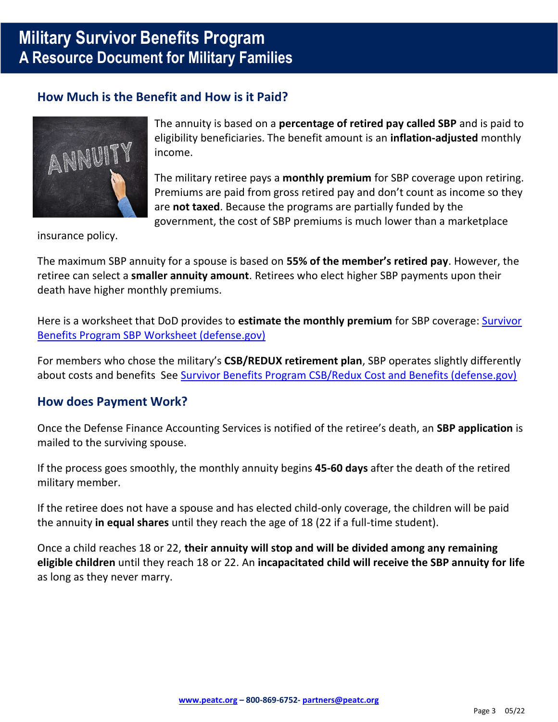## **Military Survivor Benefits Program A Resource Document for Military Families**

### **How Much is the Benefit and How is it Paid?**



The annuity is based on a **percentage of retired pay called SBP** and is paid to eligibility beneficiaries. The benefit amount is an **inflation-adjusted** monthly income.

The military retiree pays a **monthly premium** for SBP coverage upon retiring. Premiums are paid from gross retired pay and don't count as income so they are **not taxed**. Because the programs are partially funded by the government, the cost of SBP premiums is much lower than a marketplace

insurance policy.

The maximum SBP annuity for a spouse is based on **55% of the member's retired pay**. However, the retiree can select a **smaller annuity amount**. Retirees who elect higher SBP payments upon their death have higher monthly premiums.

Here is a worksheet that DoD provides to **estimate the monthly premium** for SBP coverage: [Survivor](https://militarypay.defense.gov/Benefits/Survivor-Benefit-Program/SBP-Worksheet/)  [Benefits Program SBP Worksheet \(defense.gov\)](https://militarypay.defense.gov/Benefits/Survivor-Benefit-Program/SBP-Worksheet/)

For members who chose the military's **CSB/REDUX retirement plan**, SBP operates slightly differently about costs and benefits See [Survivor Benefits Program CSB/Redux Cost and Benefits \(defense.gov\)](https://militarypay.defense.gov/Benefits/Survivor-Benefit-Program/CSB-REDUX-Costs-and-Benefits/)

### **How does Payment Work?**

Once the Defense Finance Accounting Services is notified of the retiree's death, an **SBP application** is mailed to the surviving spouse.

If the process goes smoothly, the monthly annuity begins **45-60 days** after the death of the retired military member.

If the retiree does not have a spouse and has elected child-only coverage, the children will be paid the annuity **in equal shares** until they reach the age of 18 (22 if a full-time student).

Once a child reaches 18 or 22, **their annuity will stop and will be divided among any remaining eligible children** until they reach 18 or 22. An **incapacitated child will receive the SBP annuity for life**  as long as they never marry.